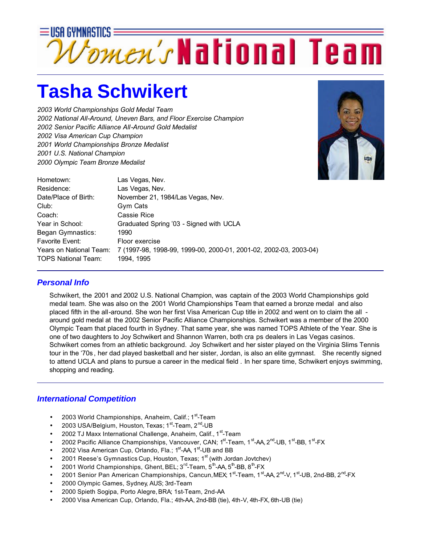

## **Tasha Schwikert**

*2003 World Championships Gold Medal Team 2002 National All-Around, Uneven Bars, and Floor Exercise Champion 2002 Senior Pacific Alliance All-Around Gold Medalist 2002 Visa American Cup Champion 2001 World Championships Bronze Medalist 2001 U.S. National Champion 2000 Olympic Team Bronze Medalist*



| Hometown:               | Las Vegas, Nev.                                                   |
|-------------------------|-------------------------------------------------------------------|
| Residence:              | Las Vegas, Nev.                                                   |
| Date/Place of Birth:    | November 21, 1984/Las Vegas, Nev.                                 |
| Club:                   | Gym Cats                                                          |
| Coach:                  | Cassie Rice                                                       |
| Year in School:         | Graduated Spring '03 - Signed with UCLA                           |
| Began Gymnastics:       | 1990                                                              |
| Favorite Event:         | Floor exercise                                                    |
| Years on National Team: | 7 (1997-98, 1998-99, 1999-00, 2000-01, 2001-02, 2002-03, 2003-04) |
| TOPS National Team:     | 1994, 1995                                                        |
|                         |                                                                   |

## *Personal Info*

Schwikert, the 2001 and 2002 U.S. National Champion, was captain of the 2003 World Championships gold medal team. She was also on the 2001 World Championships Team that earned a bronze medal and also placed fifth in the all-around. She won her first Visa American Cup title in 2002 and went on to claim the all around gold medal at the 2002 Senior Pacific Alliance Championships. Schwikert was a member of the 2000 Olympic Team that placed fourth in Sydney. That same year, she was named TOPS Athlete of the Year. She is one of two daughters to Joy Schwikert and Shannon Warren, both cra ps dealers in Las Vegas casinos. Schwikert comes from an athletic background. Joy Schwikert and her sister played on the Virginia Slims Tennis tour in the '70s , her dad played basketball and her sister, Jordan, is also an elite gymnast. She recently signed to attend UCLA and plans to pursue a career in the medical field . In her spare time, Schwikert enjoys swimming, shopping and reading.

## *International Competition*

- 2003 World Championships, Anaheim, Calif.; 1<sup>st</sup>-Team
- 2003 USA/Belgium, Houston, Texas; 1<sup>st</sup>-Team, 2<sup>nd</sup>-UB
- 2002 TJ Maxx International Challenge, Anaheim, Calif., 1<sup>st</sup>-Team
- 2002 Pacific Alliance Championships, Vancouver, CAN; 1<sup>st</sup>-Team, 1<sup>st</sup>-AA, 2<sup>nd</sup>-UB, 1<sup>st</sup>-BB, 1<sup>st</sup>-FX
- 2002 Visa American Cup, Orlando, Fla.; 1<sup>st</sup>-AA, 1<sup>st</sup>-UB and BB
- 2001 Reese's Gymnastics Cup, Houston, Texas; 1<sup>st</sup> (with Jordan Jovtchev)
- 2001 World Championships, Ghent, BEL; 3<sup>rd</sup>-Team, 5<sup>th</sup>-AA, 5<sup>th</sup>-BB, 8<sup>th</sup>-FX
- 2001 Senior Pan American Championships, Cancun, MEX; 1<sup>st</sup>-Team, 1<sup>st</sup>-AA, 2<sup>nd</sup>-V, 1<sup>st</sup>-UB, 2nd-BB, 2<sup>nd</sup>-FX
- 2000 Olympic Games, Sydney, AUS; 3rd-Team
- 2000 Spieth Sogipa, Porto Alegre, BRA; 1st-Team, 2nd-AA
- 2000 Visa American Cup, Orlando, Fla.; 4th-AA, 2nd-BB (tie), 4th-V, 4th-FX, 6th-UB (tie)